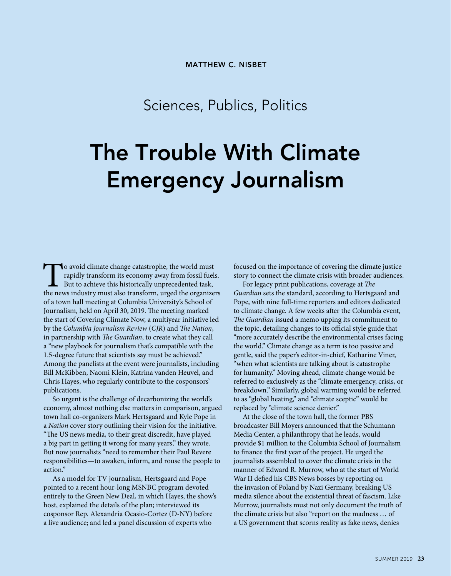## Sciences, Publics, Politics

# **The Trouble With Climate Emergency Journalism**

To avoid climate change catastrophe, the world must rapidly transform its economy away from fossil fuels. But to achieve this historically unprecedented task, the news industry must also transform, urged the organizers of a town hall meeting at Columbia University's School of Journalism, held on April 30, 2019. The meeting marked the start of Covering Climate Now, a multiyear initiative led by the *Columbia Journalism Review* (*CJR*) and *The Nation*, in partnership with *The Guardian*, to create what they call a "new playbook for journalism that's compatible with the 1.5-degree future that scientists say must be achieved." Among the panelists at the event were journalists, including Bill McKibben, Naomi Klein, Katrina vanden Heuvel, and Chris Hayes, who regularly contribute to the cosponsors' publications.

So urgent is the challenge of decarbonizing the world's economy, almost nothing else matters in comparison, argued town hall co-organizers Mark Hertsgaard and Kyle Pope in a *Nation* cover story outlining their vision for the initiative. "The US news media, to their great discredit, have played a big part in getting it wrong for many years," they wrote. But now journalists "need to remember their Paul Revere responsibilities—to awaken, inform, and rouse the people to action."

As a model for TV journalism, Hertsgaard and Pope pointed to a recent hour-long MSNBC program devoted entirely to the Green New Deal, in which Hayes, the show's host, explained the details of the plan; interviewed its cosponsor Rep. Alexandria Ocasio-Cortez (D-NY) before a live audience; and led a panel discussion of experts who

focused on the importance of covering the climate justice story to connect the climate crisis with broader audiences.

For legacy print publications, coverage at *The Guardian* sets the standard, according to Hertsgaard and Pope, with nine full-time reporters and editors dedicated to climate change. A few weeks after the Columbia event, *The Guardian* issued a memo upping its commitment to the topic, detailing changes to its official style guide that "more accurately describe the environmental crises facing the world." Climate change as a term is too passive and gentle, said the paper's editor-in-chief, Katharine Viner, "when what scientists are talking about is catastrophe for humanity." Moving ahead, climate change would be referred to exclusively as the "climate emergency, crisis, or breakdown." Similarly, global warming would be referred to as "global heating," and "climate sceptic" would be replaced by "climate science denier."

At the close of the town hall, the former PBS broadcaster Bill Moyers announced that the Schumann Media Center, a philanthropy that he leads, would provide \$1 million to the Columbia School of Journalism to finance the first year of the project. He urged the journalists assembled to cover the climate crisis in the manner of Edward R. Murrow, who at the start of World War II defied his CBS News bosses by reporting on the invasion of Poland by Nazi Germany, breaking US media silence about the existential threat of fascism. Like Murrow, journalists must not only document the truth of the climate crisis but also "report on the madness … of a US government that scorns reality as fake news, denies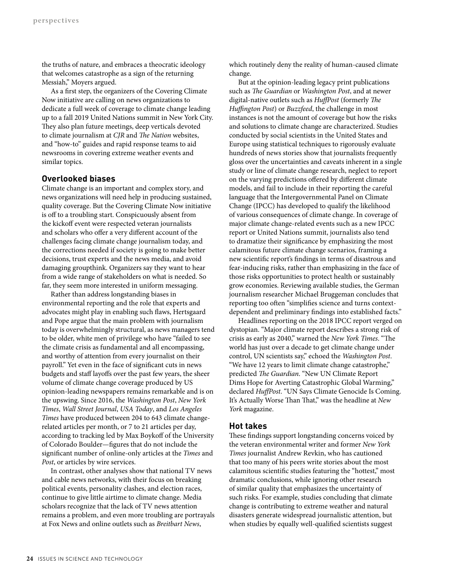the truths of nature, and embraces a theocratic ideology that welcomes catastrophe as a sign of the returning Messiah," Moyers argued.

As a first step, the organizers of the Covering Climate Now initiative are calling on news organizations to dedicate a full week of coverage to climate change leading up to a fall 2019 United Nations summit in New York City. They also plan future meetings, deep verticals devoted to climate journalism at *CJR* and *The Nation* websites, and "how-to" guides and rapid response teams to aid newsrooms in covering extreme weather events and similar topics.

#### **Overlooked biases**

Climate change is an important and complex story, and news organizations will need help in producing sustained, quality coverage. But the Covering Climate Now initiative is off to a troubling start. Conspicuously absent from the kickoff event were respected veteran journalists and scholars who offer a very different account of the challenges facing climate change journalism today, and the corrections needed if society is going to make better decisions, trust experts and the news media, and avoid damaging groupthink. Organizers say they want to hear from a wide range of stakeholders on what is needed. So far, they seem more interested in uniform messaging.

Rather than address longstanding biases in environmental reporting and the role that experts and advocates might play in enabling such flaws, Hertsgaard and Pope argue that the main problem with journalism today is overwhelmingly structural, as news managers tend to be older, white men of privilege who have "failed to see the climate crisis as fundamental and all encompassing, and worthy of attention from every journalist on their payroll." Yet even in the face of significant cuts in news budgets and staff layoffs over the past few years, the sheer volume of climate change coverage produced by US opinion-leading newspapers remains remarkable and is on the upswing. Since 2016, the *Washington Post*, *New York Times*, *Wall Street Journal*, *USA Today*, and *Los Angeles Times* have produced between 204 to 643 climate changerelated articles per month, or 7 to 21 articles per day, according to tracking led by Max Boykoff of the University of Colorado Boulder—figures that do not include the significant number of online-only articles at the *Times* and *Post*, or articles by wire services.

In contrast, other analyses show that national TV news and cable news networks, with their focus on breaking political events, personality clashes, and election races, continue to give little airtime to climate change. Media scholars recognize that the lack of TV news attention remains a problem, and even more troubling are portrayals at Fox News and online outlets such as *Breitbart News*,

which routinely deny the reality of human-caused climate change.

But at the opinion-leading legacy print publications such as *The Guardian* or *Washington Post*, and at newer digital-native outlets such as *HuffPost* (formerly *The Huffington Post*) or *Buzzfeed*, the challenge in most instances is not the amount of coverage but how the risks and solutions to climate change are characterized. Studies conducted by social scientists in the United States and Europe using statistical techniques to rigorously evaluate hundreds of news stories show that journalists frequently gloss over the uncertainties and caveats inherent in a single study or line of climate change research, neglect to report on the varying predictions offered by different climate models, and fail to include in their reporting the careful language that the Intergovernmental Panel on Climate Change (IPCC) has developed to qualify the likelihood of various consequences of climate change. In coverage of major climate change-related events such as a new IPCC report or United Nations summit, journalists also tend to dramatize their significance by emphasizing the most calamitous future climate change scenarios, framing a new scientific report's findings in terms of disastrous and fear-inducing risks, rather than emphasizing in the face of those risks opportunities to protect health or sustainably grow economies. Reviewing available studies, the German journalism researcher Michael Bruggeman concludes that reporting too often "simplifies science and turns contextdependent and preliminary findings into established facts."

Headlines reporting on the 2018 IPCC report verged on dystopian. "Major climate report describes a strong risk of crisis as early as 2040," warned the *New York Times*. "The world has just over a decade to get climate change under control, UN scientists say," echoed the *Washington Post*. "We have 12 years to limit climate change catastrophe," predicted *The Guardian*. "New UN Climate Report Dims Hope for Averting Catastrophic Global Warming," declared *HuffPost*. "UN Says Climate Genocide Is Coming. It's Actually Worse Than That," was the headline at *New York* magazine.

#### **Hot takes**

These findings support longstanding concerns voiced by the veteran environmental writer and former *New York Times* journalist Andrew Revkin, who has cautioned that too many of his peers write stories about the most calamitous scientific studies featuring the "hottest," most dramatic conclusions, while ignoring other research of similar quality that emphasizes the uncertainty of such risks. For example, studies concluding that climate change is contributing to extreme weather and natural disasters generate widespread journalistic attention, but when studies by equally well-qualified scientists suggest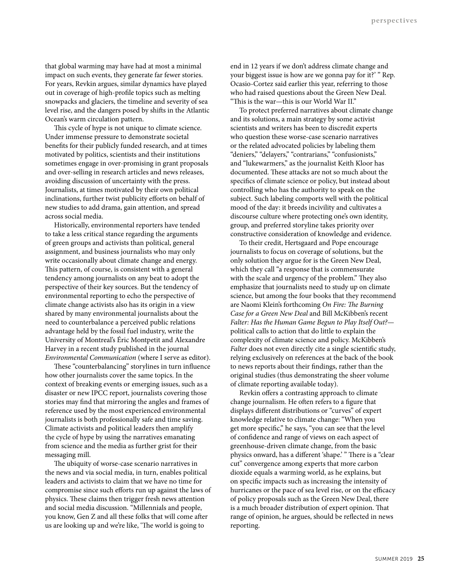that global warming may have had at most a minimal impact on such events, they generate far fewer stories. For years, Revkin argues, similar dynamics have played out in coverage of high-profile topics such as melting snowpacks and glaciers, the timeline and severity of sea level rise, and the dangers posed by shifts in the Atlantic Ocean's warm circulation pattern.

This cycle of hype is not unique to climate science. Under immense pressure to demonstrate societal benefits for their publicly funded research, and at times motivated by politics, scientists and their institutions sometimes engage in over-promising in grant proposals and over-selling in research articles and news releases, avoiding discussion of uncertainty with the press. Journalists, at times motivated by their own political inclinations, further twist publicity efforts on behalf of new studies to add drama, gain attention, and spread across social media.

Historically, environmental reporters have tended to take a less critical stance regarding the arguments of green groups and activists than political, general assignment, and business journalists who may only write occasionally about climate change and energy. This pattern, of course, is consistent with a general tendency among journalists on any beat to adopt the perspective of their key sources. But the tendency of environmental reporting to echo the perspective of climate change activists also has its origin in a view shared by many environmental journalists about the need to counterbalance a perceived public relations advantage held by the fossil fuel industry, write the University of Montreal's Éric Montpetit and Alexandre Harvey in a recent study published in the journal *Environmental Communication* (where I serve as editor).

These "counterbalancing" storylines in turn influence how other journalists cover the same topics. In the context of breaking events or emerging issues, such as a disaster or new IPCC report, journalists covering those stories may find that mirroring the angles and frames of reference used by the most experienced environmental journalists is both professionally safe and time saving. Climate activists and political leaders then amplify the cycle of hype by using the narratives emanating from science and the media as further grist for their messaging mill.

The ubiquity of worse-case scenario narratives in the news and via social media, in turn, enables political leaders and activists to claim that we have no time for compromise since such efforts run up against the laws of physics. These claims then trigger fresh news attention and social media discussion. "Millennials and people, you know, Gen Z and all these folks that will come after us are looking up and we're like, 'The world is going to

end in 12 years if we don't address climate change and your biggest issue is how are we gonna pay for it?' " Rep. Ocasio-Cortez said earlier this year, referring to those who had raised questions about the Green New Deal. "This is the war—this is our World War II."

To protect preferred narratives about climate change and its solutions, a main strategy by some activist scientists and writers has been to discredit experts who question these worse-case scenario narratives or the related advocated policies by labeling them "deniers," "delayers," "contrarians," "confusionists," and "lukewarmers," as the journalist Keith Kloor has documented. These attacks are not so much about the specifics of climate science or policy, but instead about controlling who has the authority to speak on the subject. Such labeling comports well with the political mood of the day: it breeds incivility and cultivates a discourse culture where protecting one's own identity, group, and preferred storyline takes priority over constructive consideration of knowledge and evidence.

To their credit, Hertsgaard and Pope encourage journalists to focus on coverage of solutions, but the only solution they argue for is the Green New Deal, which they call "a response that is commensurate with the scale and urgency of the problem." They also emphasize that journalists need to study up on climate science, but among the four books that they recommend are Naomi Klein's forthcoming *On Fire: The Burning Case for a Green New Deal* and Bill McKibben's recent *Falter: Has the Human Game Begun to Play Itself Out?* political calls to action that do little to explain the complexity of climate science and policy. McKibben's *Falter* does not even directly cite a single scientific study, relying exclusively on references at the back of the book to news reports about their findings, rather than the original studies (thus demonstrating the sheer volume of climate reporting available today).

Revkin offers a contrasting approach to climate change journalism. He often refers to a figure that displays different distributions or "curves" of expert knowledge relative to climate change: "When you get more specific," he says, "you can see that the level of confidence and range of views on each aspect of greenhouse-driven climate change, from the basic physics onward, has a different 'shape.' " There is a "clear cut" convergence among experts that more carbon dioxide equals a warming world, as he explains, but on specific impacts such as increasing the intensity of hurricanes or the pace of sea level rise, or on the efficacy of policy proposals such as the Green New Deal, there is a much broader distribution of expert opinion. That range of opinion, he argues, should be reflected in news reporting.